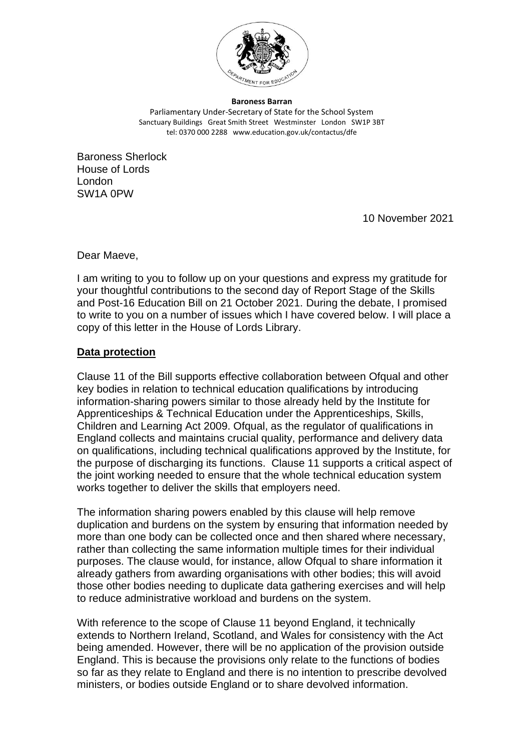

**Baroness Barran** Parliamentary Under-Secretary of State for the School System Sanctuary Buildings Great Smith Street Westminster London SW1P 3BT tel: 0370 000 2288 www.education.gov.uk/contactus/dfe

Baroness Sherlock House of Lords London SW1A 0PW

10 November 2021

Dear Maeve,

I am writing to you to follow up on your questions and express my gratitude for your thoughtful contributions to the second day of Report Stage of the Skills and Post-16 Education Bill on 21 October 2021. During the debate, I promised to write to you on a number of issues which I have covered below. I will place a copy of this letter in the House of Lords Library.

# **Data protection**

Clause 11 of the Bill supports effective collaboration between Ofqual and other key bodies in relation to technical education qualifications by introducing information-sharing powers similar to those already held by the Institute for Apprenticeships & Technical Education under the Apprenticeships, Skills, Children and Learning Act 2009. Ofqual, as the regulator of qualifications in England collects and maintains crucial quality, performance and delivery data on qualifications, including technical qualifications approved by the Institute, for the purpose of discharging its functions. Clause 11 supports a critical aspect of the joint working needed to ensure that the whole technical education system works together to deliver the skills that employers need.

The information sharing powers enabled by this clause will help remove duplication and burdens on the system by ensuring that information needed by more than one body can be collected once and then shared where necessary, rather than collecting the same information multiple times for their individual purposes. The clause would, for instance, allow Ofqual to share information it already gathers from awarding organisations with other bodies; this will avoid those other bodies needing to duplicate data gathering exercises and will help to reduce administrative workload and burdens on the system.

With reference to the scope of Clause 11 beyond England, it technically extends to Northern Ireland, Scotland, and Wales for consistency with the Act being amended. However, there will be no application of the provision outside England. This is because the provisions only relate to the functions of bodies so far as they relate to England and there is no intention to prescribe devolved ministers, or bodies outside England or to share devolved information.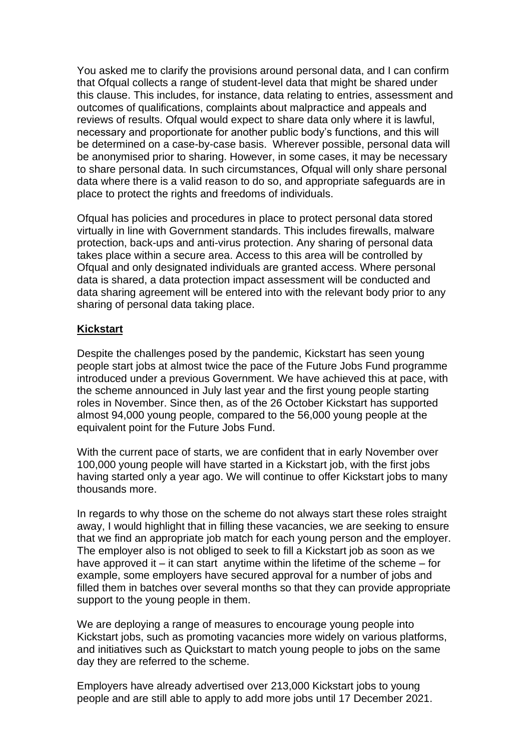You asked me to clarify the provisions around personal data, and I can confirm that Ofqual collects a range of student-level data that might be shared under this clause. This includes, for instance, data relating to entries, assessment and outcomes of qualifications, complaints about malpractice and appeals and reviews of results. Ofqual would expect to share data only where it is lawful, necessary and proportionate for another public body's functions, and this will be determined on a case-by-case basis. Wherever possible, personal data will be anonymised prior to sharing. However, in some cases, it may be necessary to share personal data. In such circumstances, Ofqual will only share personal data where there is a valid reason to do so, and appropriate safeguards are in place to protect the rights and freedoms of individuals.

Ofqual has policies and procedures in place to protect personal data stored virtually in line with Government standards. This includes firewalls, malware protection, back-ups and anti-virus protection. Any sharing of personal data takes place within a secure area. Access to this area will be controlled by Ofqual and only designated individuals are granted access. Where personal data is shared, a data protection impact assessment will be conducted and data sharing agreement will be entered into with the relevant body prior to any sharing of personal data taking place.

# **Kickstart**

Despite the challenges posed by the pandemic, Kickstart has seen young people start jobs at almost twice the pace of the Future Jobs Fund programme introduced under a previous Government. We have achieved this at pace, with the scheme announced in July last year and the first young people starting roles in November. Since then, as of the 26 October Kickstart has supported almost 94,000 young people, compared to the 56,000 young people at the equivalent point for the Future Jobs Fund.

With the current pace of starts, we are confident that in early November over 100,000 young people will have started in a Kickstart job, with the first jobs having started only a year ago. We will continue to offer Kickstart jobs to many thousands more.

In regards to why those on the scheme do not always start these roles straight away, I would highlight that in filling these vacancies, we are seeking to ensure that we find an appropriate job match for each young person and the employer. The employer also is not obliged to seek to fill a Kickstart job as soon as we have approved it – it can start anytime within the lifetime of the scheme – for example, some employers have secured approval for a number of jobs and filled them in batches over several months so that they can provide appropriate support to the young people in them.

We are deploying a range of measures to encourage young people into Kickstart jobs, such as promoting vacancies more widely on various platforms, and initiatives such as Quickstart to match young people to jobs on the same day they are referred to the scheme.

Employers have already advertised over 213,000 Kickstart jobs to young people and are still able to apply to add more jobs until 17 December 2021.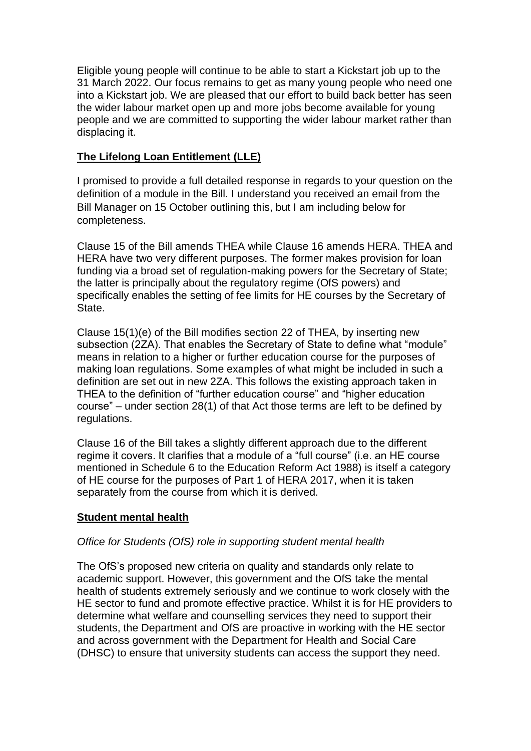Eligible young people will continue to be able to start a Kickstart job up to the 31 March 2022. Our focus remains to get as many young people who need one into a Kickstart job. We are pleased that our effort to build back better has seen the wider labour market open up and more jobs become available for young people and we are committed to supporting the wider labour market rather than displacing it.

# **The Lifelong Loan Entitlement (LLE)**

I promised to provide a full detailed response in regards to your question on the definition of a module in the Bill. I understand you received an email from the Bill Manager on 15 October outlining this, but I am including below for completeness.

Clause 15 of the Bill amends THEA while Clause 16 amends HERA. THEA and HERA have two very different purposes. The former makes provision for loan funding via a broad set of regulation-making powers for the Secretary of State; the latter is principally about the regulatory regime (OfS powers) and specifically enables the setting of fee limits for HE courses by the Secretary of State.

Clause 15(1)(e) of the Bill modifies section 22 of THEA, by inserting new subsection (2ZA). That enables the Secretary of State to define what "module" means in relation to a higher or further education course for the purposes of making loan regulations. Some examples of what might be included in such a definition are set out in new 2ZA. This follows the existing approach taken in THEA to the definition of "further education course" and "higher education course" – under section 28(1) of that Act those terms are left to be defined by regulations.

Clause 16 of the Bill takes a slightly different approach due to the different regime it covers. It clarifies that a module of a "full course" (i.e. an HE course mentioned in Schedule 6 to the Education Reform Act 1988) is itself a category of HE course for the purposes of Part 1 of HERA 2017, when it is taken separately from the course from which it is derived.

## **Student mental health**

## *Office for Students (OfS) role in supporting student mental health*

The OfS's proposed new criteria on quality and standards only relate to academic support. However, this government and the OfS take the mental health of students extremely seriously and we continue to work closely with the HE sector to fund and promote effective practice. Whilst it is for HE providers to determine what welfare and counselling services they need to support their students, the Department and OfS are proactive in working with the HE sector and across government with the Department for Health and Social Care (DHSC) to ensure that university students can access the support they need.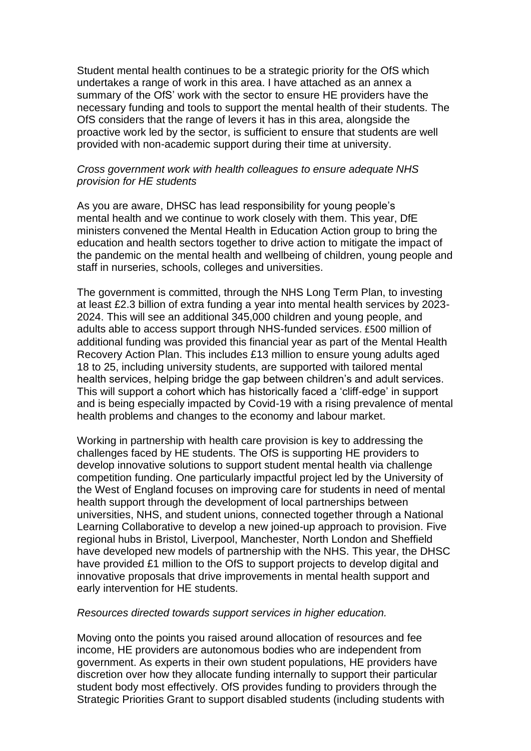Student mental health continues to be a strategic priority for the OfS which undertakes a range of work in this area. I have attached as an annex a summary of the OfS' work with the sector to ensure HE providers have the necessary funding and tools to support the mental health of their students. The OfS considers that the range of levers it has in this area, alongside the proactive work led by the sector, is sufficient to ensure that students are well provided with non-academic support during their time at university.

#### *Cross government work with health colleagues to ensure adequate NHS provision for HE students*

As you are aware, DHSC has lead responsibility for young people's mental health and we continue to work closely with them. This year, DfE ministers convened the Mental Health in Education Action group to bring the education and health sectors together to drive action to mitigate the impact of the pandemic on the mental health and wellbeing of children, young people and staff in nurseries, schools, colleges and universities.

The government is committed, through the NHS Long Term Plan, to investing at least £2.3 billion of extra funding a year into mental health services by 2023- 2024. This will see an additional 345,000 children and young people, and adults able to access support through NHS-funded services. £500 million of additional funding was provided this financial year as part of the Mental Health Recovery Action Plan. This includes £13 million to ensure young adults aged 18 to 25, including university students, are supported with tailored mental health services, helping bridge the gap between children's and adult services. This will support a cohort which has historically faced a 'cliff-edge' in support and is being especially impacted by Covid-19 with a rising prevalence of mental health problems and changes to the economy and labour market.

Working in partnership with health care provision is key to addressing the challenges faced by HE students. The OfS is supporting HE providers to develop innovative solutions to support student mental health via challenge competition funding. One particularly impactful project led by the University of the West of England focuses on improving care for students in need of mental health support through the development of local partnerships between universities, NHS, and student unions, connected together through a National Learning Collaborative to develop a new joined-up approach to provision. Five regional hubs in Bristol, Liverpool, Manchester, North London and Sheffield have developed new models of partnership with the NHS. This year, the DHSC have provided £1 million to the OfS to support projects to develop digital and innovative proposals that drive improvements in mental health support and early intervention for HE students.

#### *Resources directed towards support services in higher education.*

Moving onto the points you raised around allocation of resources and fee income, HE providers are autonomous bodies who are independent from government. As experts in their own student populations, HE providers have discretion over how they allocate funding internally to support their particular student body most effectively. OfS provides funding to providers through the Strategic Priorities Grant to support disabled students (including students with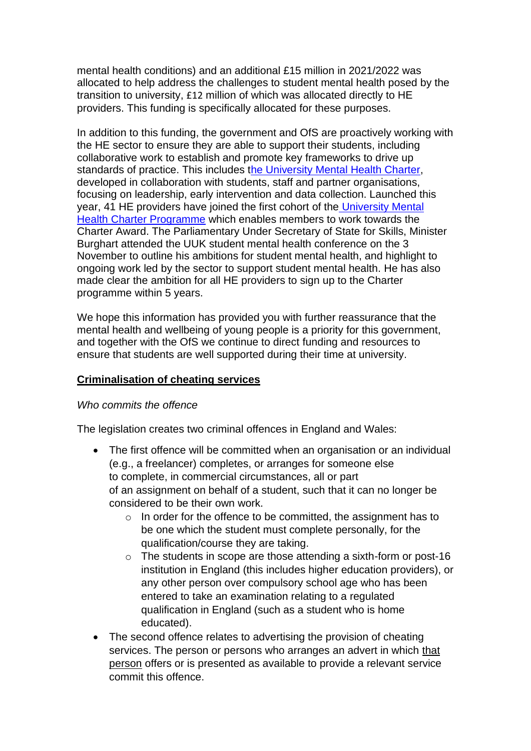mental health conditions) and an additional £15 million in 2021/2022 was allocated to help address the challenges to student mental health posed by the transition to university, £12 million of which was allocated directly to HE providers. This funding is specifically allocated for these purposes.

In addition to this funding, the government and OfS are proactively working with the HE sector to ensure they are able to support their students, including collaborative work to establish and promote key frameworks to drive up standards of practice. This includes [the University Mental Health Charter,](https://www.studentminds.org.uk/charter.html) developed in collaboration with students, staff and partner organisations, focusing on leadership, early intervention and data collection. Launched this year, 41 HE providers have joined the first cohort of the [University Mental](https://universitymentalhealthcharter.org.uk/)  [Health Charter Programme](https://universitymentalhealthcharter.org.uk/) which enables members to work towards the Charter Award. The Parliamentary Under Secretary of State for Skills, Minister Burghart attended the UUK student mental health conference on the 3 November to outline his ambitions for student mental health, and highlight to ongoing work led by the sector to support student mental health. He has also made clear the ambition for all HE providers to sign up to the Charter programme within 5 years.

We hope this information has provided you with further reassurance that the mental health and wellbeing of young people is a priority for this government, and together with the OfS we continue to direct funding and resources to ensure that students are well supported during their time at university.

## **Criminalisation of cheating services**

## *Who commits the offence*

The legislation creates two criminal offences in England and Wales:

- The first offence will be committed when an organisation or an individual (e.g., a freelancer) completes, or arranges for someone else to complete, in commercial circumstances, all or part of an assignment on behalf of a student, such that it can no longer be considered to be their own work.
	- o In order for the offence to be committed, the assignment has to be one which the student must complete personally, for the qualification/course they are taking.
	- $\circ$  The students in scope are those attending a sixth-form or post-16 institution in England (this includes higher education providers), or any other person over compulsory school age who has been entered to take an examination relating to a regulated qualification in England (such as a student who is home educated).
- The second offence relates to advertising the provision of cheating services. The person or persons who arranges an advert in which that person offers or is presented as available to provide a relevant service commit this offence.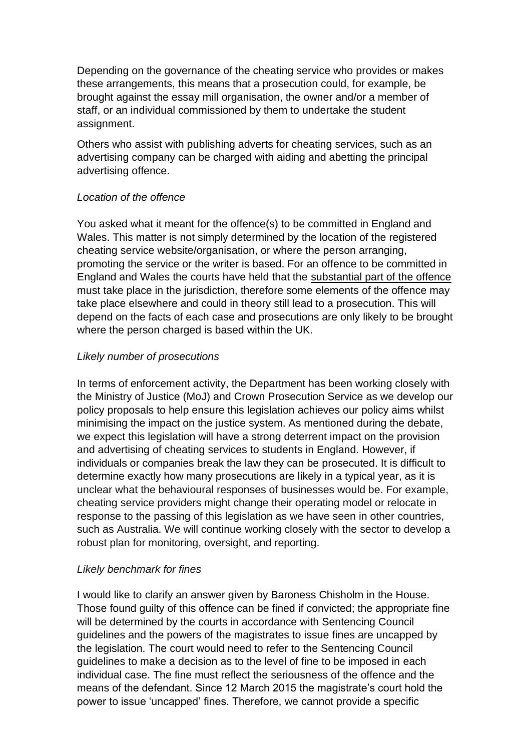Depending on the governance of the cheating service who provides or makes these arrangements, this means that a prosecution could, for example, be brought against the essay mill organisation, the owner and/or a member of staff, or an individual commissioned by them to undertake the student assignment.

Others who assist with publishing adverts for cheating services, such as an advertising company can be charged with aiding and abetting the principal advertising offence.

# *Location of the offence*

You asked what it meant for the offence(s) to be committed in England and Wales. This matter is not simply determined by the location of the registered cheating service website/organisation, or where the person arranging, promoting the service or the writer is based. For an offence to be committed in England and Wales the courts have held that the substantial part of the offence must take place in the jurisdiction, therefore some elements of the offence may take place elsewhere and could in theory still lead to a prosecution. This will depend on the facts of each case and prosecutions are only likely to be brought where the person charged is based within the UK.

## *Likely number of prosecutions*

In terms of enforcement activity, the Department has been working closely with the Ministry of Justice (MoJ) and Crown Prosecution Service as we develop our policy proposals to help ensure this legislation achieves our policy aims whilst minimising the impact on the justice system. As mentioned during the debate, we expect this legislation will have a strong deterrent impact on the provision and advertising of cheating services to students in England. However, if individuals or companies break the law they can be prosecuted. It is difficult to determine exactly how many prosecutions are likely in a typical year, as it is unclear what the behavioural responses of businesses would be. For example, cheating service providers might change their operating model or relocate in response to the passing of this legislation as we have seen in other countries, such as Australia. We will continue working closely with the sector to develop a robust plan for monitoring, oversight, and reporting.

## *Likely benchmark for fines*

I would like to clarify an answer given by Baroness Chisholm in the House. Those found guilty of this offence can be fined if convicted; the appropriate fine will be determined by the courts in accordance with Sentencing Council guidelines and the powers of the magistrates to issue fines are uncapped by the legislation. The court would need to refer to the Sentencing Council guidelines to make a decision as to the level of fine to be imposed in each individual case. The fine must reflect the seriousness of the offence and the means of the defendant. Since 12 March 2015 the magistrate's court hold the power to issue 'uncapped' fines. Therefore, we cannot provide a specific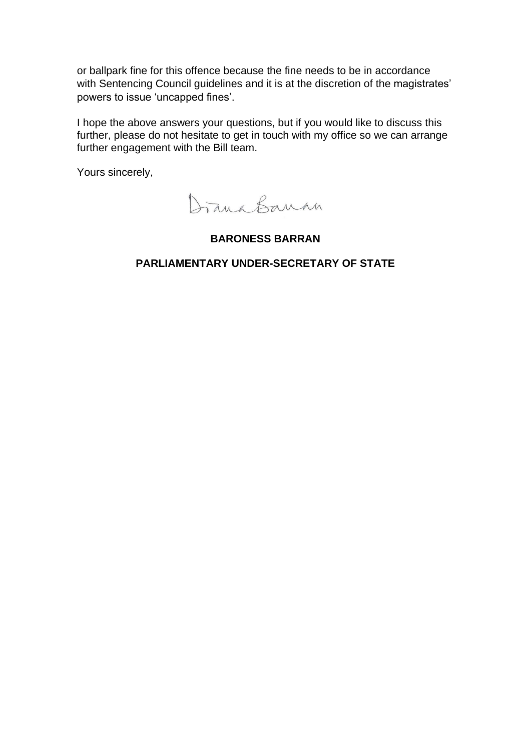or ballpark fine for this offence because the fine needs to be in accordance with Sentencing Council guidelines and it is at the discretion of the magistrates' powers to issue 'uncapped fines'.

I hope the above answers your questions, but if you would like to discuss this further, please do not hesitate to get in touch with my office so we can arrange further engagement with the Bill team.

Yours sincerely,

Drana Banan

#### **BARONESS BARRAN**

#### **PARLIAMENTARY UNDER-SECRETARY OF STATE**